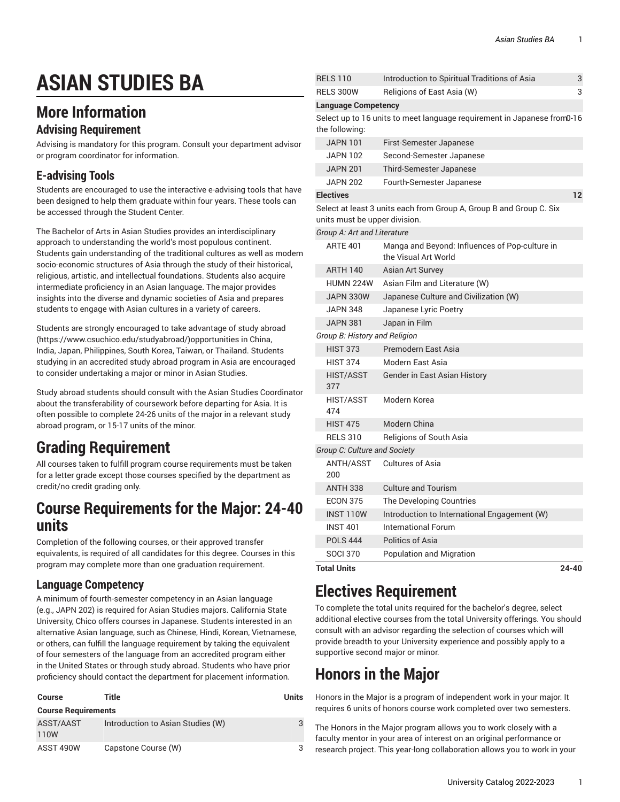# **ASIAN STUDIES BA**

### **More Information**

#### **Advising Requirement**

Advising is mandatory for this program. Consult your department advisor or program coordinator for information.

#### **E-advising Tools**

Students are encouraged to use the interactive e-advising tools that have been designed to help them graduate within four years. These tools can be accessed through the Student Center.

The Bachelor of Arts in Asian Studies provides an interdisciplinary approach to understanding the world's most populous continent. Students gain understanding of the traditional cultures as well as modern socio-economic structures of Asia through the study of their historical, religious, artistic, and intellectual foundations. Students also acquire intermediate proficiency in an Asian language. The major provides insights into the diverse and dynamic societies of Asia and prepares students to engage with Asian cultures in a variety of careers.

Students are strongly encouraged to take advantage of study [abroad](https://www.csuchico.edu/studyabroad/) ([https://www.csuchico.edu/studyabroad/\)](https://www.csuchico.edu/studyabroad/)opportunities in China, India, Japan, Philippines, South Korea, Taiwan, or Thailand. Students studying in an accredited study abroad program in Asia are encouraged to consider undertaking a major or minor in Asian Studies.

Study abroad students should consult with the Asian Studies Coordinator about the transferability of coursework before departing for Asia. It is often possible to complete 24-26 units of the major in a relevant study abroad program, or 15-17 units of the minor.

# **Grading Requirement**

All courses taken to fulfill program course requirements must be taken for a letter grade except those courses specified by the department as credit/no credit grading only.

### **Course Requirements for the Major: 24-40 units**

Completion of the following courses, or their approved transfer equivalents, is required of all candidates for this degree. Courses in this program may complete more than one graduation requirement.

#### **Language Competency**

A minimum of fourth-semester competency in an Asian language (e.g., JAPN 202) is required for Asian Studies majors. California State University, Chico offers courses in Japanese. Students interested in an alternative Asian language, such as Chinese, Hindi, Korean, Vietnamese, or others, can fulfill the language requirement by taking the equivalent of four semesters of the language from an accredited program either in the United States or through study abroad. Students who have prior proficiency should contact the department for placement information.

| <b>Course</b>              | Title                             | <b>Units</b> |  |
|----------------------------|-----------------------------------|--------------|--|
| <b>Course Requirements</b> |                                   |              |  |
| ASST/AAST<br>110W          | Introduction to Asian Studies (W) | 3            |  |
| ASST 490W                  | Capstone Course (W)               | 3            |  |

| <b>RELS 110</b>               | Introduction to Spiritual Traditions of Asia                             | 3     |
|-------------------------------|--------------------------------------------------------------------------|-------|
| <b>RELS 300W</b>              | Religions of East Asia (W)                                               | 3     |
| <b>Language Competency</b>    |                                                                          |       |
| the following:                | Select up to 16 units to meet language requirement in Japanese from 0-16 |       |
| <b>JAPN 101</b>               | First-Semester Japanese                                                  |       |
| <b>JAPN 102</b>               | Second-Semester Japanese                                                 |       |
| <b>JAPN 201</b>               | Third-Semester Japanese                                                  |       |
| <b>JAPN 202</b>               | Fourth-Semester Japanese                                                 |       |
| <b>Electives</b>              |                                                                          | 12    |
| units must be upper division. | Select at least 3 units each from Group A, Group B and Group C. Six      |       |
| Group A: Art and Literature   |                                                                          |       |
| <b>ARTE 401</b>               | Manga and Beyond: Influences of Pop-culture in<br>the Visual Art World   |       |
| <b>ARTH 140</b>               | <b>Asian Art Survey</b>                                                  |       |
| <b>HUMN 224W</b>              | Asian Film and Literature (W)                                            |       |
| JAPN 330W                     | Japanese Culture and Civilization (W)                                    |       |
| <b>JAPN 348</b>               | Japanese Lyric Poetry                                                    |       |
| <b>JAPN 381</b>               | Japan in Film                                                            |       |
| Group B: History and Religion |                                                                          |       |
| <b>HIST 373</b>               | Premodern East Asia                                                      |       |
| <b>HIST 374</b>               | Modern East Asia                                                         |       |
| <b>HIST/ASST</b><br>377       | Gender in East Asian History                                             |       |
| HIST/ASST<br>474              | Modern Korea                                                             |       |
| <b>HIST 475</b>               | Modern China                                                             |       |
| <b>RELS 310</b>               | Religions of South Asia                                                  |       |
| Group C: Culture and Society  |                                                                          |       |
| ANTH/ASST<br>200              | <b>Cultures of Asia</b>                                                  |       |
| <b>ANTH 338</b>               | <b>Culture and Tourism</b>                                               |       |
| <b>ECON 375</b>               | The Developing Countries                                                 |       |
| <b>INST 110W</b>              | Introduction to International Engagement (W)                             |       |
| <b>INST 401</b>               | <b>International Forum</b>                                               |       |
| <b>POLS 444</b>               | Politics of Asia                                                         |       |
| <b>SOCI 370</b>               | Population and Migration                                                 |       |
| <b>Total Units</b>            |                                                                          | 24-40 |

## **Electives Requirement**

To complete the total units required for the bachelor's degree, select additional elective courses from the total University offerings. You should consult with an advisor regarding the selection of courses which will provide breadth to your University experience and possibly apply to a supportive second major or minor.

# **Honors in the Major**

Honors in the Major is a program of independent work in your major. It requires 6 units of honors course work completed over two semesters.

The Honors in the Major program allows you to work closely with a faculty mentor in your area of interest on an original performance or research project. This year-long collaboration allows you to work in your